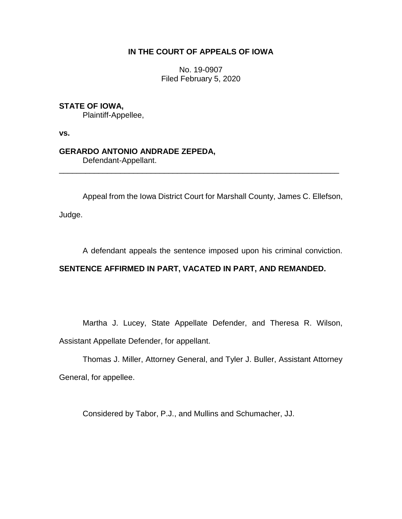# **IN THE COURT OF APPEALS OF IOWA**

No. 19-0907 Filed February 5, 2020

### **STATE OF IOWA,**

Plaintiff-Appellee,

**vs.**

# **GERARDO ANTONIO ANDRADE ZEPEDA,**

Defendant-Appellant.

Appeal from the Iowa District Court for Marshall County, James C. Ellefson,

\_\_\_\_\_\_\_\_\_\_\_\_\_\_\_\_\_\_\_\_\_\_\_\_\_\_\_\_\_\_\_\_\_\_\_\_\_\_\_\_\_\_\_\_\_\_\_\_\_\_\_\_\_\_\_\_\_\_\_\_\_\_\_\_

Judge.

A defendant appeals the sentence imposed upon his criminal conviction.

# **SENTENCE AFFIRMED IN PART, VACATED IN PART, AND REMANDED.**

Martha J. Lucey, State Appellate Defender, and Theresa R. Wilson, Assistant Appellate Defender, for appellant.

Thomas J. Miller, Attorney General, and Tyler J. Buller, Assistant Attorney General, for appellee.

Considered by Tabor, P.J., and Mullins and Schumacher, JJ.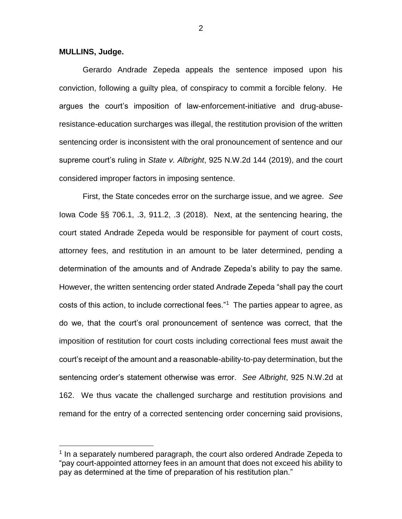#### **MULLINS, Judge.**

 $\overline{a}$ 

Gerardo Andrade Zepeda appeals the sentence imposed upon his conviction, following a guilty plea, of conspiracy to commit a forcible felony. He argues the court's imposition of law-enforcement-initiative and drug-abuseresistance-education surcharges was illegal, the restitution provision of the written sentencing order is inconsistent with the oral pronouncement of sentence and our supreme court's ruling in *State v. Albright*, 925 N.W.2d 144 (2019), and the court considered improper factors in imposing sentence.

First, the State concedes error on the surcharge issue, and we agree. *See*  Iowa Code §§ 706.1, .3, 911.2, .3 (2018). Next, at the sentencing hearing, the court stated Andrade Zepeda would be responsible for payment of court costs, attorney fees, and restitution in an amount to be later determined, pending a determination of the amounts and of Andrade Zepeda's ability to pay the same. However, the written sentencing order stated Andrade Zepeda "shall pay the court costs of this action, to include correctional fees."<sup>1</sup> The parties appear to agree, as do we, that the court's oral pronouncement of sentence was correct, that the imposition of restitution for court costs including correctional fees must await the court's receipt of the amount and a reasonable-ability-to-pay determination, but the sentencing order's statement otherwise was error. *See Albright*, 925 N.W.2d at 162. We thus vacate the challenged surcharge and restitution provisions and remand for the entry of a corrected sentencing order concerning said provisions,

<sup>&</sup>lt;sup>1</sup> In a separately numbered paragraph, the court also ordered Andrade Zepeda to "pay court-appointed attorney fees in an amount that does not exceed his ability to pay as determined at the time of preparation of his restitution plan."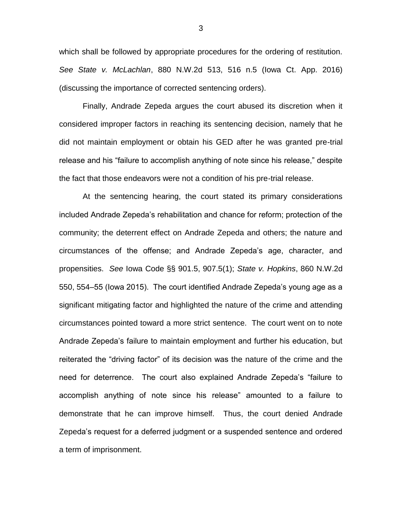which shall be followed by appropriate procedures for the ordering of restitution. *See State v. McLachlan*, 880 N.W.2d 513, 516 n.5 (Iowa Ct. App. 2016) (discussing the importance of corrected sentencing orders).

Finally, Andrade Zepeda argues the court abused its discretion when it considered improper factors in reaching its sentencing decision, namely that he did not maintain employment or obtain his GED after he was granted pre-trial release and his "failure to accomplish anything of note since his release," despite the fact that those endeavors were not a condition of his pre-trial release.

At the sentencing hearing, the court stated its primary considerations included Andrade Zepeda's rehabilitation and chance for reform; protection of the community; the deterrent effect on Andrade Zepeda and others; the nature and circumstances of the offense; and Andrade Zepeda's age, character, and propensities. *See* Iowa Code §§ 901.5, 907.5(1); *State v. Hopkins*, 860 N.W.2d 550, 554–55 (Iowa 2015). The court identified Andrade Zepeda's young age as a significant mitigating factor and highlighted the nature of the crime and attending circumstances pointed toward a more strict sentence. The court went on to note Andrade Zepeda's failure to maintain employment and further his education, but reiterated the "driving factor" of its decision was the nature of the crime and the need for deterrence. The court also explained Andrade Zepeda's "failure to accomplish anything of note since his release" amounted to a failure to demonstrate that he can improve himself. Thus, the court denied Andrade Zepeda's request for a deferred judgment or a suspended sentence and ordered a term of imprisonment.